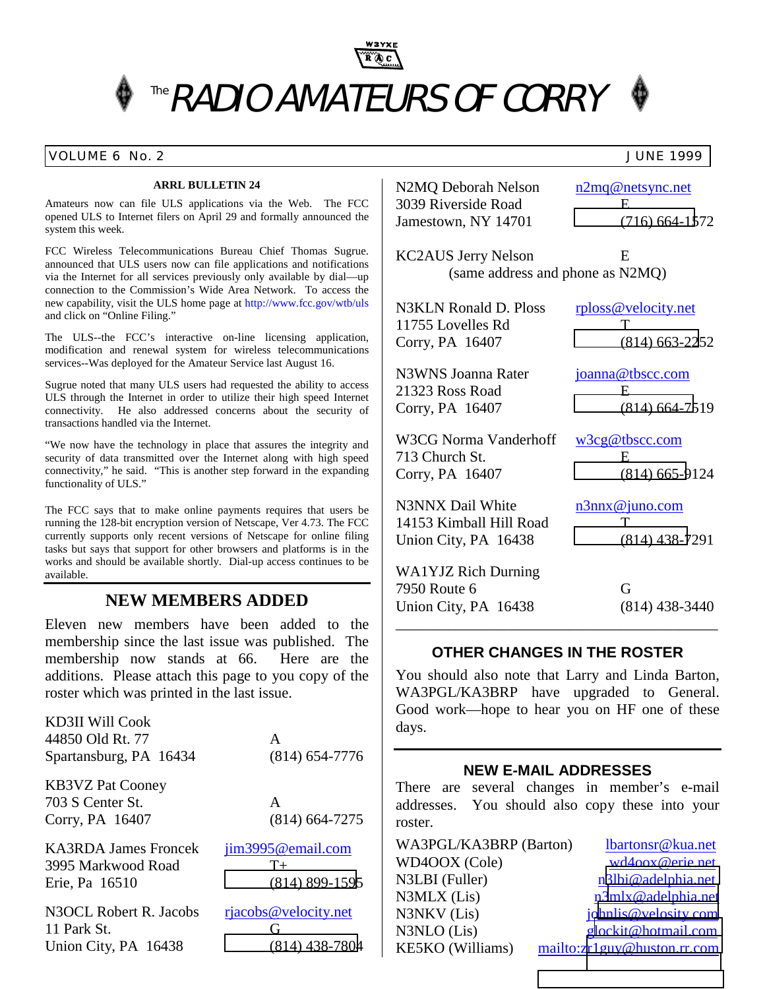

### VOLUME 6 No. 2 JUNE 1999

### **ARRL BULLETIN 24**

Amateurs now can file ULS applications via the Web. The FCC opened ULS to Internet filers on April 29 and formally announced the system this week.

FCC Wireless Telecommunications Bureau Chief Thomas Sugrue. announced that ULS users now can file applications and notifications via the Internet for all services previously only available by dial—up connection to the Commission's Wide Area Network. To access the new capability, visit the ULS home page at http://www.fcc.gov/wtb/uls and click on "Online Filing."

The ULS--the FCC's interactive on-line licensing application, modification and renewal system for wireless telecommunications services--Was deployed for the Amateur Service last August 16.

Sugrue noted that many ULS users had requested the ability to access ULS through the Internet in order to utilize their high speed Internet connectivity. He also addressed concerns about the security of transactions handled via the Internet.

"We now have the technology in place that assures the integrity and security of data transmitted over the Internet along with high speed connectivity," he said. "This is another step forward in the expanding functionality of ULS."

The FCC says that to make online payments requires that users be running the 128-bit encryption version of Netscape, Ver 4.73. The FCC currently supports only recent versions of Netscape for online filing tasks but says that support for other browsers and platforms is in the works and should be available shortly. Dial-up access continues to be available.

### **NEW MEMBERS ADDED**

Eleven new members have been added to the membership since the last issue was published. The membership now stands at 66. Here are the additions. Please attach this page to you copy of the roster which was printed in the last issue.

| <b>KD3II Will Cook</b>      |                      |
|-----------------------------|----------------------|
| 44850 Old Rt. 77            | A                    |
| Spartansburg, PA 16434      | $(814)$ 654-7776     |
| <b>KB3VZ Pat Cooney</b>     |                      |
| 703 S Center St.            | $\mathsf{A}$         |
| Corry, PA 16407             | $(814)$ 664-7275     |
| <b>KA3RDA James Froncek</b> | jim3995@email.com    |
| 3995 Markwood Road          | $T_{+}$              |
| Erie, Pa 16510              | $(814)$ 899-1595     |
| N3OCL Robert R. Jacobs      | rjacobs@velocity.net |
| 11 Park St.                 | G                    |
| Union City, PA 16438        | $(814)$ 438-7804     |

N2MQ Deborah Nelson n2mq@netsync.net 3039 Riverside Road E Jamestown, NY 14701 [\(716\) 664-15](mailto:n2mq@netsync.net)72

KC2AUS Jerry Nelson E (same address and phone as N2MQ)

N3KLN Ronald D. Ploss rploss@velocity.net 11755 Lovelles Rd T Corry, PA 16407 [\(814\) 663-22](mailto:rploss@velocity.net)52

N3WNS Joanna Rater joanna@tbscc.com 21323 Ross Road E Corry, PA 16407 [\(814\) 664-75](mailto:joanna@tbscc.com)19

W3CG Norma Vanderhoff w3cg@tbscc.com

713 Church St. E Corry, PA 16407 [\(814\) 665-9](mailto:w3cg@tbscc.com)124

N3NNX Dail White n3nnx@juno.com 14153 Kimball Hill Road T Union City, PA 16438 [\(814\) 438-7](mailto:n3nnx@juno.com)291

WA1YJZ Rich Durning 7950 Route 6 G Union City, PA 16438 (814) 438-3440 \_\_\_\_\_\_\_\_\_\_\_\_\_\_\_\_\_\_\_\_\_\_\_\_\_\_\_\_\_\_\_\_\_\_\_\_\_\_\_\_\_\_\_

### **OTHER CHANGES IN THE ROSTER**

You should also note that Larry and Linda Barton, WA3PGL/KA3BRP have upgraded to General. Good work—hope to hear you on HF one of these days.

### **NEW E-MAIL ADDRESSES**

There are several changes in member's e-mail addresses. You should also copy these into your roster.

| WA3PGL/KA3BRP (Barton)  | lbartonsr@kua.net           |
|-------------------------|-----------------------------|
| WD4OOX (Cole)           | wd4oox@erie.net             |
| N3LBI (Fuller)          | n3lbi@adelphia.net          |
| N3MLX (Lis)             | n3mlx@adelphia.net          |
| N3NKV (Lis)             | johnlis@velosity.com        |
| N3NLO (Lis)             | glockit@hotmail.com         |
| <b>KE5KO</b> (Williams) | mailto:zr1guy@huston.rr.com |

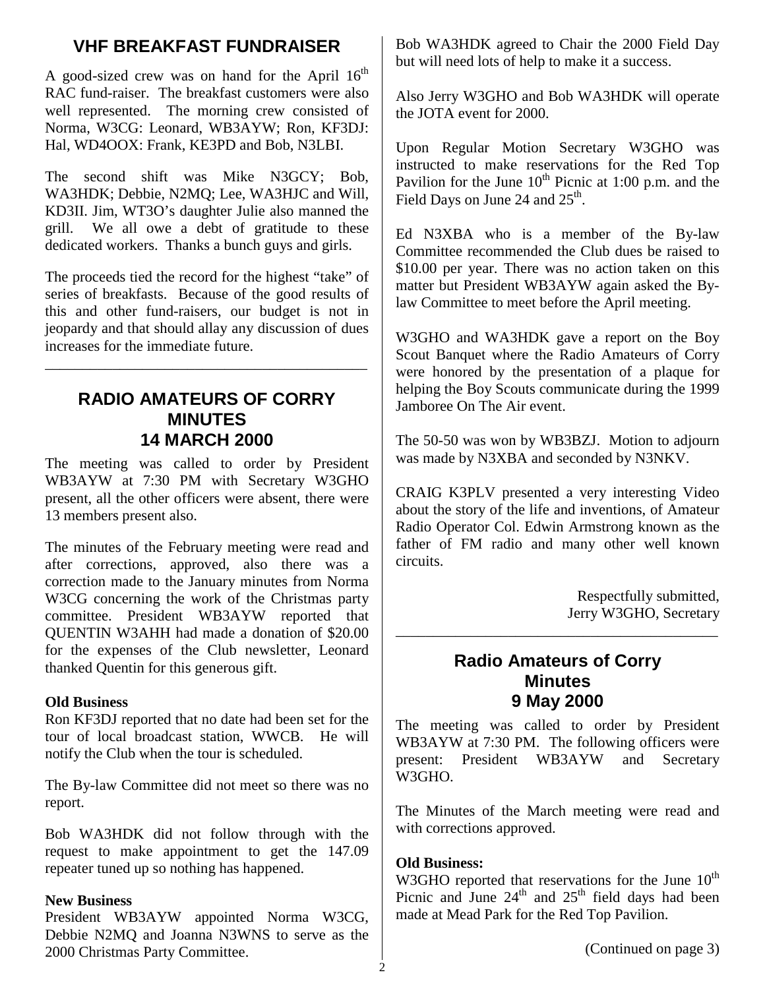## **VHF BREAKFAST FUNDRAISER**

A good-sized crew was on hand for the April  $16<sup>th</sup>$ RAC fund-raiser. The breakfast customers were also well represented. The morning crew consisted of Norma, W3CG: Leonard, WB3AYW; Ron, KF3DJ: Hal, WD4OOX: Frank, KE3PD and Bob, N3LBI.

The second shift was Mike N3GCY; Bob, WA3HDK; Debbie, N2MQ; Lee, WA3HJC and Will, KD3II. Jim, WT3O's daughter Julie also manned the grill. We all owe a debt of gratitude to these dedicated workers. Thanks a bunch guys and girls.

The proceeds tied the record for the highest "take" of series of breakfasts. Because of the good results of this and other fund-raisers, our budget is not in jeopardy and that should allay any discussion of dues increases for the immediate future.

\_\_\_\_\_\_\_\_\_\_\_\_\_\_\_\_\_\_\_\_\_\_\_\_\_\_\_\_\_\_\_\_\_\_\_\_\_\_\_\_\_\_\_

## **RADIO AMATEURS OF CORRY MINUTES 14 MARCH 2000**

The meeting was called to order by President WB3AYW at 7:30 PM with Secretary W3GHO present, all the other officers were absent, there were 13 members present also.

The minutes of the February meeting were read and after corrections, approved, also there was a correction made to the January minutes from Norma W3CG concerning the work of the Christmas party committee. President WB3AYW reported that QUENTIN W3AHH had made a donation of \$20.00 for the expenses of the Club newsletter, Leonard thanked Quentin for this generous gift.

### **Old Business**

Ron KF3DJ reported that no date had been set for the tour of local broadcast station, WWCB. He will notify the Club when the tour is scheduled.

The By-law Committee did not meet so there was no report.

Bob WA3HDK did not follow through with the request to make appointment to get the 147.09 repeater tuned up so nothing has happened.

### **New Business**

President WB3AYW appointed Norma W3CG, Debbie N2MQ and Joanna N3WNS to serve as the 2000 Christmas Party Committee.

Bob WA3HDK agreed to Chair the 2000 Field Day but will need lots of help to make it a success.

Also Jerry W3GHO and Bob WA3HDK will operate the JOTA event for 2000.

Upon Regular Motion Secretary W3GHO was instructed to make reservations for the Red Top Pavilion for the June  $10^{th}$  Picnic at 1:00 p.m. and the Field Days on June 24 and  $25^{\text{th}}$ .

Ed N3XBA who is a member of the By-law Committee recommended the Club dues be raised to \$10.00 per year. There was no action taken on this matter but President WB3AYW again asked the Bylaw Committee to meet before the April meeting.

W3GHO and WA3HDK gave a report on the Boy Scout Banquet where the Radio Amateurs of Corry were honored by the presentation of a plaque for helping the Boy Scouts communicate during the 1999 Jamboree On The Air event.

The 50-50 was won by WB3BZJ. Motion to adjourn was made by N3XBA and seconded by N3NKV.

CRAIG K3PLV presented a very interesting Video about the story of the life and inventions, of Amateur Radio Operator Col. Edwin Armstrong known as the father of FM radio and many other well known circuits.

> Respectfully submitted, Jerry W3GHO, Secretary

## **Radio Amateurs of Corry Minutes 9 May 2000**

\_\_\_\_\_\_\_\_\_\_\_\_\_\_\_\_\_\_\_\_\_\_\_\_\_\_\_\_\_\_\_\_\_\_\_\_\_\_\_\_\_\_\_

The meeting was called to order by President WB3AYW at 7:30 PM. The following officers were present: President WB3AYW and Secretary W3GHO.

The Minutes of the March meeting were read and with corrections approved.

### **Old Business:**

W3GHO reported that reservations for the June  $10^{th}$ Picnic and June  $24<sup>th</sup>$  and  $25<sup>th</sup>$  field days had been made at Mead Park for the Red Top Pavilion.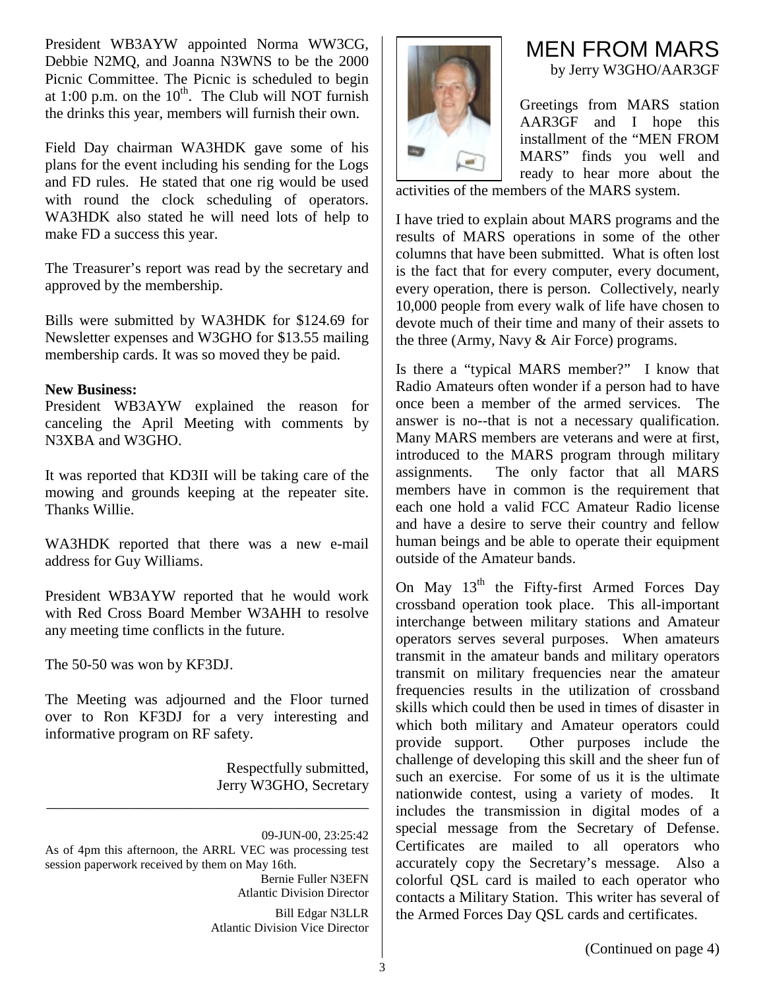President WB3AYW appointed Norma WW3CG, Debbie N2MQ, and Joanna N3WNS to be the 2000 Picnic Committee. The Picnic is scheduled to begin at 1:00 p.m. on the  $10^{th}$ . The Club will NOT furnish the drinks this year, members will furnish their own.

Field Day chairman WA3HDK gave some of his plans for the event including his sending for the Logs and FD rules. He stated that one rig would be used with round the clock scheduling of operators. WA3HDK also stated he will need lots of help to make FD a success this year.

The Treasurer's report was read by the secretary and approved by the membership.

Bills were submitted by WA3HDK for \$124.69 for Newsletter expenses and W3GHO for \$13.55 mailing membership cards. It was so moved they be paid.

### **New Business:**

President WB3AYW explained the reason for canceling the April Meeting with comments by N3XBA and W3GHO.

It was reported that KD3II will be taking care of the mowing and grounds keeping at the repeater site. Thanks Willie.

WA3HDK reported that there was a new e-mail address for Guy Williams.

President WB3AYW reported that he would work with Red Cross Board Member W3AHH to resolve any meeting time conflicts in the future.

The 50-50 was won by KF3DJ.

The Meeting was adjourned and the Floor turned over to Ron KF3DJ for a very interesting and informative program on RF safety.

\_\_\_\_\_\_\_\_\_\_\_\_\_\_\_\_\_\_\_\_\_\_\_\_\_\_\_\_\_\_\_\_\_\_\_\_\_\_\_\_\_\_\_

Respectfully submitted, Jerry W3GHO, Secretary

09-JUN-00, 23:25:42 As of 4pm this afternoon, the ARRL VEC was processing test session paperwork received by them on May 16th. Bernie Fuller N3EFN Atlantic Division Director Bill Edgar N3LLR Atlantic Division Vice Director



## MEN FROM MARS by Jerry W3GHO/AAR3GF

Greetings from MARS station AAR3GF and I hope this installment of the "MEN FROM MARS" finds you well and ready to hear more about the

activities of the members of the MARS system.

I have tried to explain about MARS programs and the results of MARS operations in some of the other columns that have been submitted. What is often lost is the fact that for every computer, every document, every operation, there is person. Collectively, nearly 10,000 people from every walk of life have chosen to devote much of their time and many of their assets to the three (Army, Navy & Air Force) programs.

Is there a "typical MARS member?" I know that Radio Amateurs often wonder if a person had to have once been a member of the armed services. The answer is no--that is not a necessary qualification. Many MARS members are veterans and were at first, introduced to the MARS program through military assignments. The only factor that all MARS members have in common is the requirement that each one hold a valid FCC Amateur Radio license and have a desire to serve their country and fellow human beings and be able to operate their equipment outside of the Amateur bands.

On May 13<sup>th</sup> the Fifty-first Armed Forces Day crossband operation took place. This all-important interchange between military stations and Amateur operators serves several purposes. When amateurs transmit in the amateur bands and military operators transmit on military frequencies near the amateur frequencies results in the utilization of crossband skills which could then be used in times of disaster in which both military and Amateur operators could provide support. Other purposes include the challenge of developing this skill and the sheer fun of such an exercise. For some of us it is the ultimate nationwide contest, using a variety of modes. It includes the transmission in digital modes of a special message from the Secretary of Defense. Certificates are mailed to all operators who accurately copy the Secretary's message. Also a colorful QSL card is mailed to each operator who contacts a Military Station. This writer has several of the Armed Forces Day QSL cards and certificates.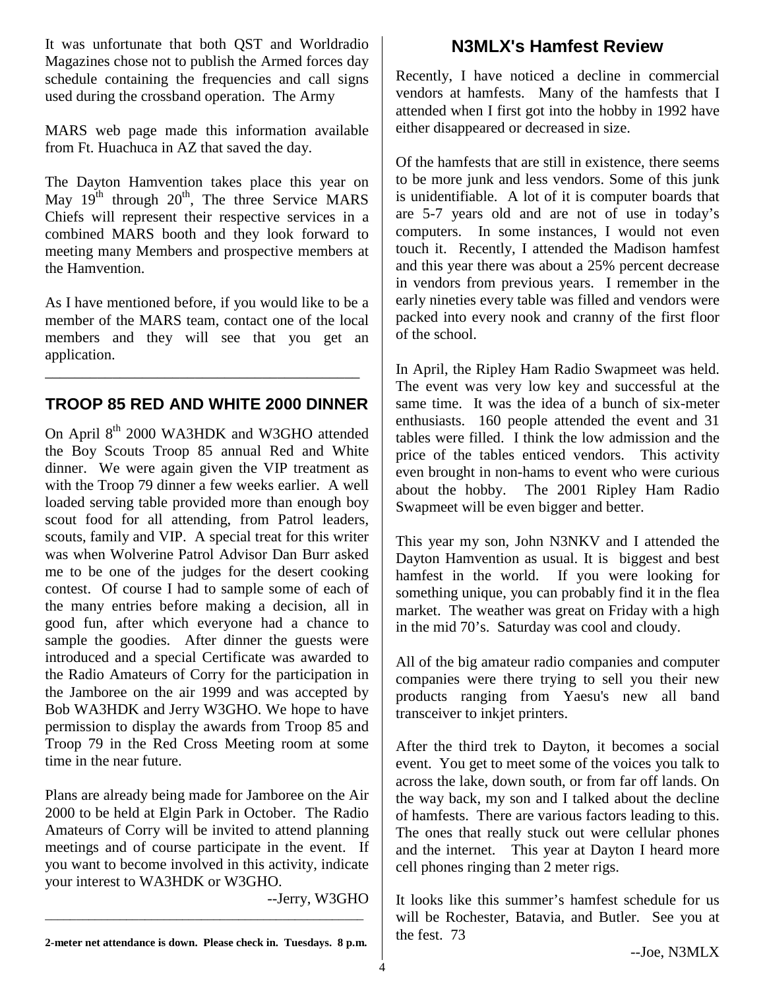It was unfortunate that both QST and Worldradio Magazines chose not to publish the Armed forces day schedule containing the frequencies and call signs used during the crossband operation. The Army

MARS web page made this information available from Ft. Huachuca in AZ that saved the day.

The Dayton Hamvention takes place this year on May  $19^{th}$  through  $20^{th}$ , The three Service MARS Chiefs will represent their respective services in a combined MARS booth and they look forward to meeting many Members and prospective members at the Hamvention.

As I have mentioned before, if you would like to be a member of the MARS team, contact one of the local members and they will see that you get an application.

## **TROOP 85 RED AND WHITE 2000 DINNER**

\_\_\_\_\_\_\_\_\_\_\_\_\_\_\_\_\_\_\_\_\_\_\_\_\_\_\_\_\_\_\_\_\_\_\_\_\_\_\_\_\_\_

On April 8<sup>th</sup> 2000 WA3HDK and W3GHO attended the Boy Scouts Troop 85 annual Red and White dinner. We were again given the VIP treatment as with the Troop 79 dinner a few weeks earlier. A well loaded serving table provided more than enough boy scout food for all attending, from Patrol leaders, scouts, family and VIP. A special treat for this writer was when Wolverine Patrol Advisor Dan Burr asked me to be one of the judges for the desert cooking contest. Of course I had to sample some of each of the many entries before making a decision, all in good fun, after which everyone had a chance to sample the goodies. After dinner the guests were introduced and a special Certificate was awarded to the Radio Amateurs of Corry for the participation in the Jamboree on the air 1999 and was accepted by Bob WA3HDK and Jerry W3GHO. We hope to have permission to display the awards from Troop 85 and Troop 79 in the Red Cross Meeting room at some time in the near future.

Plans are already being made for Jamboree on the Air 2000 to be held at Elgin Park in October. The Radio Amateurs of Corry will be invited to attend planning meetings and of course participate in the event. If you want to become involved in this activity, indicate your interest to WA3HDK or W3GHO.

--Jerry, W3GHO

## **N3MLX's Hamfest Review**

Recently, I have noticed a decline in commercial vendors at hamfests. Many of the hamfests that I attended when I first got into the hobby in 1992 have either disappeared or decreased in size.

Of the hamfests that are still in existence, there seems to be more junk and less vendors. Some of this junk is unidentifiable. A lot of it is computer boards that are 5-7 years old and are not of use in today's computers. In some instances, I would not even touch it. Recently, I attended the Madison hamfest and this year there was about a 25% percent decrease in vendors from previous years. I remember in the early nineties every table was filled and vendors were packed into every nook and cranny of the first floor of the school.

In April, the Ripley Ham Radio Swapmeet was held. The event was very low key and successful at the same time. It was the idea of a bunch of six-meter enthusiasts. 160 people attended the event and 31 tables were filled. I think the low admission and the price of the tables enticed vendors. This activity even brought in non-hams to event who were curious about the hobby. The 2001 Ripley Ham Radio Swapmeet will be even bigger and better.

This year my son, John N3NKV and I attended the Dayton Hamvention as usual. It is biggest and best hamfest in the world. If you were looking for something unique, you can probably find it in the flea market. The weather was great on Friday with a high in the mid 70's. Saturday was cool and cloudy.

All of the big amateur radio companies and computer companies were there trying to sell you their new products ranging from Yaesu's new all band transceiver to inkjet printers.

After the third trek to Dayton, it becomes a social event. You get to meet some of the voices you talk to across the lake, down south, or from far off lands. On the way back, my son and I talked about the decline of hamfests. There are various factors leading to this. The ones that really stuck out were cellular phones and the internet. This year at Dayton I heard more cell phones ringing than 2 meter rigs.

It looks like this summer's hamfest schedule for us will be Rochester, Batavia, and Butler. See you at the fest. 73

\_\_\_\_\_\_\_\_\_\_\_\_\_\_\_\_\_\_\_\_\_\_\_\_\_\_\_\_\_\_\_\_\_\_\_\_\_\_\_\_\_\_\_\_\_\_\_\_\_\_\_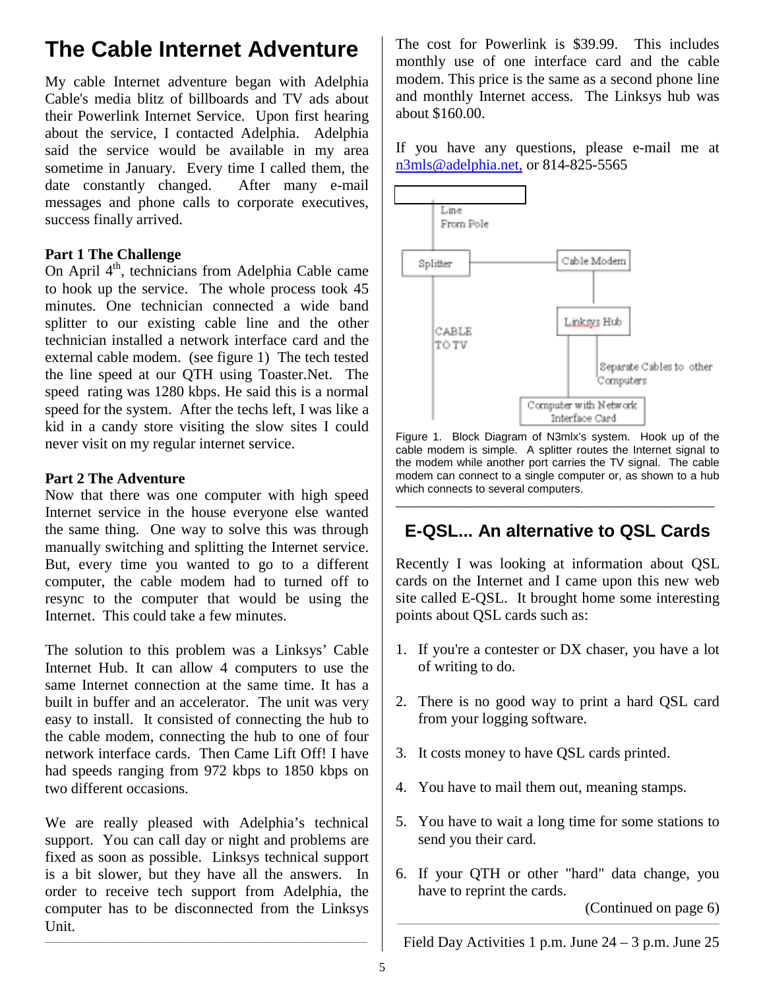# **The Cable Internet Adventure**

My cable Internet adventure began with Adelphia Cable's media blitz of billboards and TV ads about their Powerlink Internet Service. Upon first hearing about the service, I contacted Adelphia. Adelphia said the service would be available in my area sometime in January. Every time I called them, the date constantly changed. After many e-mail messages and phone calls to corporate executives, success finally arrived.

### **Part 1 The Challenge**

On April 4<sup>th</sup>, technicians from Adelphia Cable came to hook up the service. The whole process took 45 minutes. One technician connected a wide band splitter to our existing cable line and the other technician installed a network interface card and the external cable modem. (see figure 1) The tech tested the line speed at our QTH using Toaster.Net. The speed rating was 1280 kbps. He said this is a normal speed for the system. After the techs left, I was like a kid in a candy store visiting the slow sites I could never visit on my regular internet service.

### **Part 2 The Adventure**

Now that there was one computer with high speed Internet service in the house everyone else wanted the same thing. One way to solve this was through manually switching and splitting the Internet service. But, every time you wanted to go to a different computer, the cable modem had to turned off to resync to the computer that would be using the Internet. This could take a few minutes.

The solution to this problem was a Linksys' Cable Internet Hub. It can allow 4 computers to use the same Internet connection at the same time. It has a built in buffer and an accelerator. The unit was very easy to install. It consisted of connecting the hub to the cable modem, connecting the hub to one of four network interface cards. Then Came Lift Off! I have had speeds ranging from 972 kbps to 1850 kbps on two different occasions.

We are really pleased with Adelphia's technical support. You can call day or night and problems are fixed as soon as possible. Linksys technical support is a bit slower, but they have all the answers. In order to receive tech support from Adelphia, the computer has to be disconnected from the Linksys Unit.

 $\_$  ,  $\_$  ,  $\_$  ,  $\_$  ,  $\_$  ,  $\_$  ,  $\_$  ,  $\_$  ,  $\_$  ,  $\_$  ,  $\_$  ,  $\_$  ,  $\_$  ,  $\_$  ,  $\_$  ,  $\_$  ,  $\_$  ,  $\_$  ,  $\_$  ,  $\_$  ,  $\_$  ,  $\_$  ,  $\_$  ,  $\_$  ,  $\_$  ,  $\_$  ,  $\_$  ,  $\_$  ,  $\_$  ,  $\_$  ,  $\_$  ,  $\_$  ,  $\_$  ,  $\_$  ,  $\_$  ,  $\_$  ,  $\_$  ,

The cost for Powerlink is \$39.99. This includes monthly use of one interface card and the cable modem. This price is the same as a second phone line and monthly Internet access. The Linksys hub was about \$160.00.

If you have any questions, please e-mail me at n3mls@adelphia.net, or 814-825-5565



Figure 1. Block Diagram of N3mlx's system. Hook up of the cable modem is simple. A splitter routes the Internet signal to the modem while another port carries the TV signal. The cable modem can connect to a single computer or, as shown to a hub which connects to several computers.

# **E-QSL... An alternative to QSL Cards**

\_\_\_\_\_\_\_\_\_\_\_\_\_\_\_\_\_\_\_\_\_\_\_\_\_\_\_\_\_\_\_\_\_\_\_\_\_\_\_\_\_\_\_\_\_\_\_\_\_\_\_

Recently I was looking at information about QSL cards on the Internet and I came upon this new web site called E-QSL. It brought home some interesting points about QSL cards such as:

- 1. If you're a contester or DX chaser, you have a lot of writing to do.
- 2. There is no good way to print a hard QSL card from your logging software.
- 3. It costs money to have QSL cards printed.
- 4. You have to mail them out, meaning stamps.
- 5. You have to wait a long time for some stations to send you their card.
- 6. If your QTH or other "hard" data change, you have to reprint the cards.

(Continued on page 6)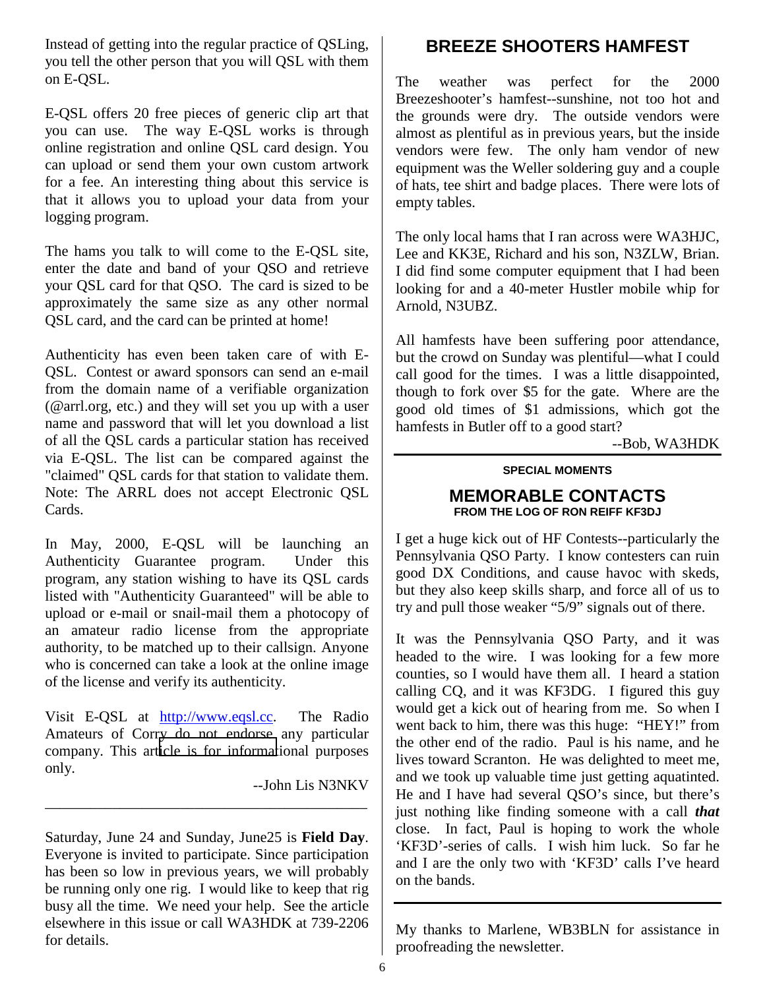Instead of getting into the regular practice of QSLing, you tell the other person that you will QSL with them on E-QSL.

E-QSL offers 20 free pieces of generic clip art that you can use. The way E-QSL works is through online registration and online QSL card design. You can upload or send them your own custom artwork for a fee. An interesting thing about this service is that it allows you to upload your data from your logging program.

The hams you talk to will come to the E-QSL site, enter the date and band of your QSO and retrieve your QSL card for that QSO. The card is sized to be approximately the same size as any other normal QSL card, and the card can be printed at home!

Authenticity has even been taken care of with E-QSL. Contest or award sponsors can send an e-mail from the domain name of a verifiable organization (@arrl.org, etc.) and they will set you up with a user name and password that will let you download a list of all the QSL cards a particular station has received via E-QSL. The list can be compared against the "claimed" QSL cards for that station to validate them. Note: The ARRL does not accept Electronic QSL Cards.

In May, 2000, E-QSL will be launching an Authenticity Guarantee program. Under this program, any station wishing to have its QSL cards listed with "Authenticity Guaranteed" will be able to upload or e-mail or snail-mail them a photocopy of an amateur radio license from the appropriate authority, to be matched up to their callsign. Anyone who is concerned can take a look at the online image of the license and verify its authenticity.

Visit E-QSL at http://www.eqsl.cc. The Radio Amateurs of Corry do not endorse any particular company. This art[icle is for informat](http://www.eqsl.cc/)ional purposes only.

\_\_\_\_\_\_\_\_\_\_\_\_\_\_\_\_\_\_\_\_\_\_\_\_\_\_\_\_\_\_\_\_\_\_\_\_\_\_\_\_\_\_\_

--John Lis N3NKV

Saturday, June 24 and Sunday, June25 is **Field Day**. Everyone is invited to participate. Since participation has been so low in previous years, we will probably be running only one rig. I would like to keep that rig busy all the time. We need your help. See the article elsewhere in this issue or call WA3HDK at 739-2206 for details.

## **BREEZE SHOOTERS HAMFEST**

The weather was perfect for the 2000 Breezeshooter's hamfest--sunshine, not too hot and the grounds were dry. The outside vendors were almost as plentiful as in previous years, but the inside vendors were few. The only ham vendor of new equipment was the Weller soldering guy and a couple of hats, tee shirt and badge places. There were lots of empty tables.

The only local hams that I ran across were WA3HJC, Lee and KK3E, Richard and his son, N3ZLW, Brian. I did find some computer equipment that I had been looking for and a 40-meter Hustler mobile whip for Arnold, N3UBZ.

All hamfests have been suffering poor attendance, but the crowd on Sunday was plentiful—what I could call good for the times. I was a little disappointed, though to fork over \$5 for the gate. Where are the good old times of \$1 admissions, which got the hamfests in Butler off to a good start?

--Bob, WA3HDK

### **SPECIAL MOMENTS**

### **MEMORABLE CONTACTS FROM THE LOG OF RON REIFF KF3DJ**

I get a huge kick out of HF Contests--particularly the Pennsylvania QSO Party. I know contesters can ruin good DX Conditions, and cause havoc with skeds, but they also keep skills sharp, and force all of us to try and pull those weaker "5/9" signals out of there.

It was the Pennsylvania QSO Party, and it was headed to the wire. I was looking for a few more counties, so I would have them all. I heard a station calling CQ, and it was KF3DG. I figured this guy would get a kick out of hearing from me. So when I went back to him, there was this huge: "HEY!" from the other end of the radio. Paul is his name, and he lives toward Scranton. He was delighted to meet me, and we took up valuable time just getting aquatinted. He and I have had several QSO's since, but there's just nothing like finding someone with a call *that* close. In fact, Paul is hoping to work the whole 'KF3D'-series of calls. I wish him luck. So far he and I are the only two with 'KF3D' calls I've heard on the bands.

My thanks to Marlene, WB3BLN for assistance in proofreading the newsletter.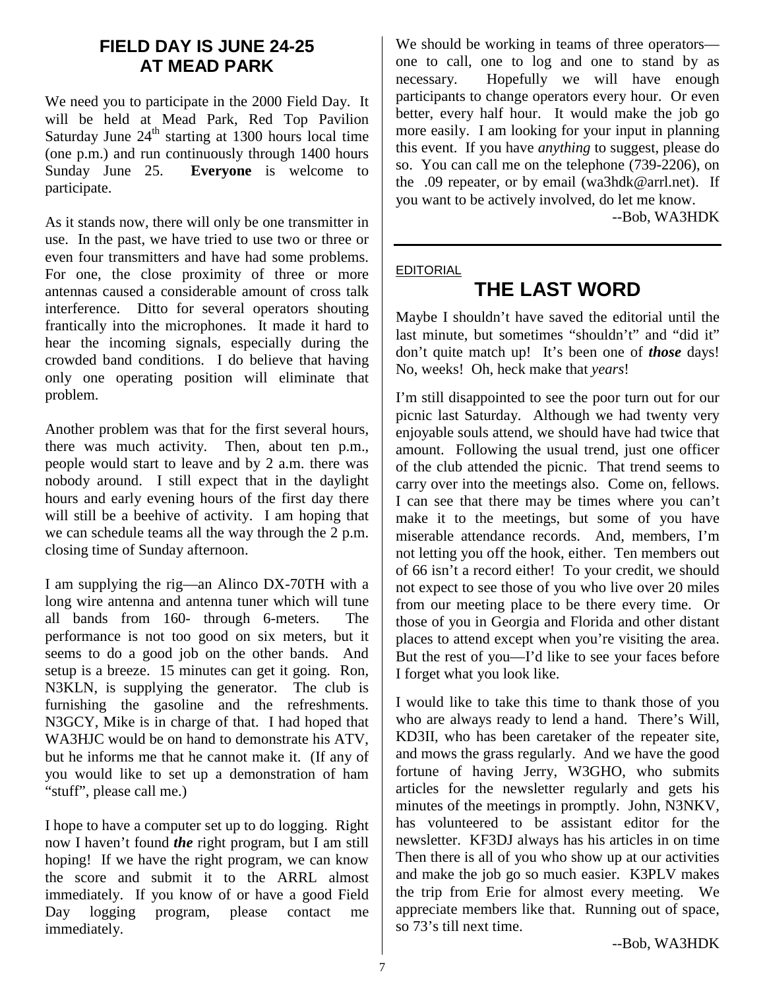## **FIELD DAY IS JUNE 24-25 AT MEAD PARK**

We need you to participate in the 2000 Field Day. It will be held at Mead Park, Red Top Pavilion Saturday June  $24<sup>th</sup>$  starting at 1300 hours local time (one p.m.) and run continuously through 1400 hours Sunday June 25. **Everyone** is welcome to participate.

As it stands now, there will only be one transmitter in use. In the past, we have tried to use two or three or even four transmitters and have had some problems. For one, the close proximity of three or more antennas caused a considerable amount of cross talk interference. Ditto for several operators shouting frantically into the microphones. It made it hard to hear the incoming signals, especially during the crowded band conditions. I do believe that having only one operating position will eliminate that problem.

Another problem was that for the first several hours, there was much activity. Then, about ten p.m., people would start to leave and by 2 a.m. there was nobody around. I still expect that in the daylight hours and early evening hours of the first day there will still be a beehive of activity. I am hoping that we can schedule teams all the way through the 2 p.m. closing time of Sunday afternoon.

I am supplying the rig—an Alinco DX-70TH with a long wire antenna and antenna tuner which will tune all bands from 160- through 6-meters. The performance is not too good on six meters, but it seems to do a good job on the other bands. And setup is a breeze. 15 minutes can get it going. Ron, N3KLN, is supplying the generator. The club is furnishing the gasoline and the refreshments. N3GCY, Mike is in charge of that. I had hoped that WA3HJC would be on hand to demonstrate his ATV, but he informs me that he cannot make it. (If any of you would like to set up a demonstration of ham "stuff", please call me.)

I hope to have a computer set up to do logging. Right now I haven't found *the* right program, but I am still hoping! If we have the right program, we can know the score and submit it to the ARRL almost immediately. If you know of or have a good Field Day logging program, please contact me immediately.

We should be working in teams of three operators one to call, one to log and one to stand by as necessary. Hopefully we will have enough participants to change operators every hour. Or even better, every half hour. It would make the job go more easily. I am looking for your input in planning this event. If you have *anything* to suggest, please do so. You can call me on the telephone (739-2206), on the .09 repeater, or by email (wa3hdk@arrl.net). If you want to be actively involved, do let me know.

--Bob, WA3HDK

### EDITORIAL

# **THE LAST WORD**

Maybe I shouldn't have saved the editorial until the last minute, but sometimes "shouldn't" and "did it" don't quite match up! It's been one of *those* days! No, weeks! Oh, heck make that *years*!

I'm still disappointed to see the poor turn out for our picnic last Saturday. Although we had twenty very enjoyable souls attend, we should have had twice that amount. Following the usual trend, just one officer of the club attended the picnic. That trend seems to carry over into the meetings also. Come on, fellows. I can see that there may be times where you can't make it to the meetings, but some of you have miserable attendance records. And, members, I'm not letting you off the hook, either. Ten members out of 66 isn't a record either! To your credit, we should not expect to see those of you who live over 20 miles from our meeting place to be there every time. Or those of you in Georgia and Florida and other distant places to attend except when you're visiting the area. But the rest of you—I'd like to see your faces before I forget what you look like.

I would like to take this time to thank those of you who are always ready to lend a hand. There's Will, KD3II, who has been caretaker of the repeater site, and mows the grass regularly. And we have the good fortune of having Jerry, W3GHO, who submits articles for the newsletter regularly and gets his minutes of the meetings in promptly. John, N3NKV, has volunteered to be assistant editor for the newsletter. KF3DJ always has his articles in on time Then there is all of you who show up at our activities and make the job go so much easier. K3PLV makes the trip from Erie for almost every meeting. We appreciate members like that. Running out of space, so 73's till next time.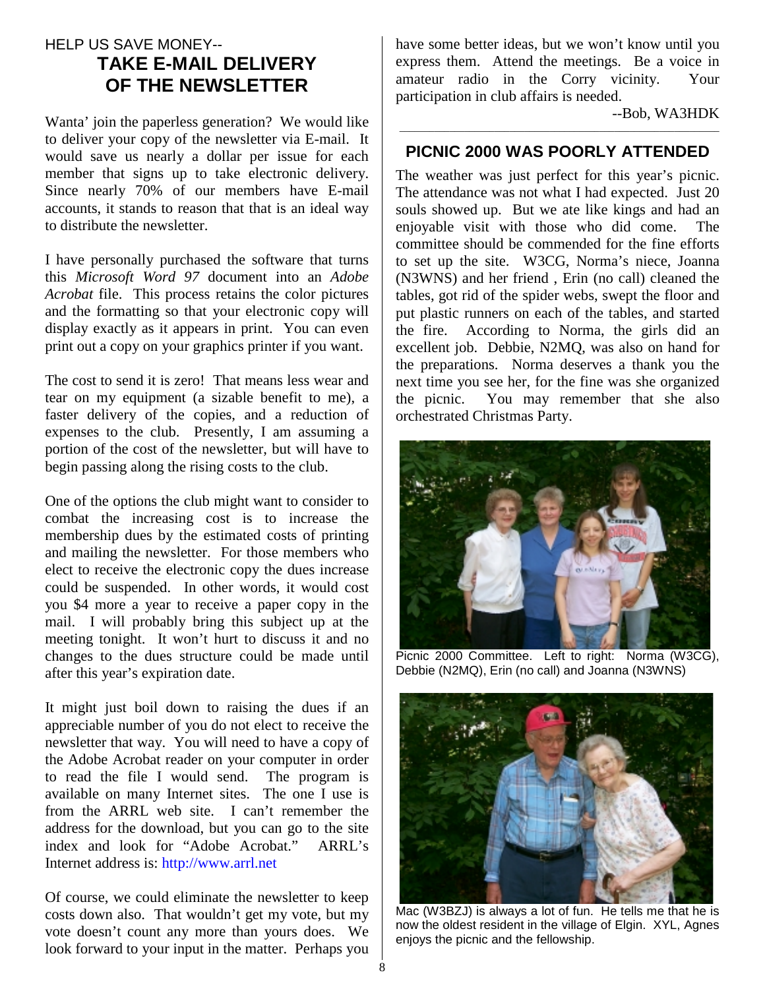## HELP US SAVE MONEY-- **TAKE E-MAIL DELIVERY OF THE NEWSLETTER**

Wanta' join the paperless generation? We would like to deliver your copy of the newsletter via E-mail. It would save us nearly a dollar per issue for each member that signs up to take electronic delivery. Since nearly 70% of our members have E-mail accounts, it stands to reason that that is an ideal way to distribute the newsletter.

I have personally purchased the software that turns this *Microsoft Word 97* document into an *Adobe Acrobat* file. This process retains the color pictures and the formatting so that your electronic copy will display exactly as it appears in print. You can even print out a copy on your graphics printer if you want.

The cost to send it is zero! That means less wear and tear on my equipment (a sizable benefit to me), a faster delivery of the copies, and a reduction of expenses to the club. Presently, I am assuming a portion of the cost of the newsletter, but will have to begin passing along the rising costs to the club.

One of the options the club might want to consider to combat the increasing cost is to increase the membership dues by the estimated costs of printing and mailing the newsletter. For those members who elect to receive the electronic copy the dues increase could be suspended. In other words, it would cost you \$4 more a year to receive a paper copy in the mail. I will probably bring this subject up at the meeting tonight. It won't hurt to discuss it and no changes to the dues structure could be made until after this year's expiration date.

It might just boil down to raising the dues if an appreciable number of you do not elect to receive the newsletter that way. You will need to have a copy of the Adobe Acrobat reader on your computer in order to read the file I would send. The program is available on many Internet sites. The one I use is from the ARRL web site. I can't remember the address for the download, but you can go to the site index and look for "Adobe Acrobat." ARRL's Internet address is: http://www.arrl.net

Of course, we could eliminate the newsletter to keep costs down also. That wouldn't get my vote, but my vote doesn't count any more than yours does. We look forward to your input in the matter. Perhaps you have some better ideas, but we won't know until you express them. Attend the meetings. Be a voice in amateur radio in the Corry vicinity. Your participation in club affairs is needed.

--Bob, WA3HDK

## \_\_\_\_\_\_\_\_\_\_\_\_\_\_\_\_\_\_\_\_\_\_\_\_\_\_\_\_\_\_\_\_\_\_\_\_\_\_\_\_\_\_\_\_\_\_\_\_\_\_\_\_\_\_\_\_\_\_\_\_\_\_\_\_ **PICNIC 2000 WAS POORLY ATTENDED**

The weather was just perfect for this year's picnic. The attendance was not what I had expected. Just 20 souls showed up. But we ate like kings and had an enjoyable visit with those who did come. The committee should be commended for the fine efforts to set up the site. W3CG, Norma's niece, Joanna (N3WNS) and her friend , Erin (no call) cleaned the tables, got rid of the spider webs, swept the floor and put plastic runners on each of the tables, and started the fire. According to Norma, the girls did an excellent job. Debbie, N2MQ, was also on hand for the preparations. Norma deserves a thank you the next time you see her, for the fine was she organized the picnic. You may remember that she also orchestrated Christmas Party.



Picnic 2000 Committee. Left to right: Norma (W3CG), Debbie (N2MQ), Erin (no call) and Joanna (N3WNS)



Mac (W3BZJ) is always a lot of fun. He tells me that he is now the oldest resident in the village of Elgin. XYL, Agnes enjoys the picnic and the fellowship.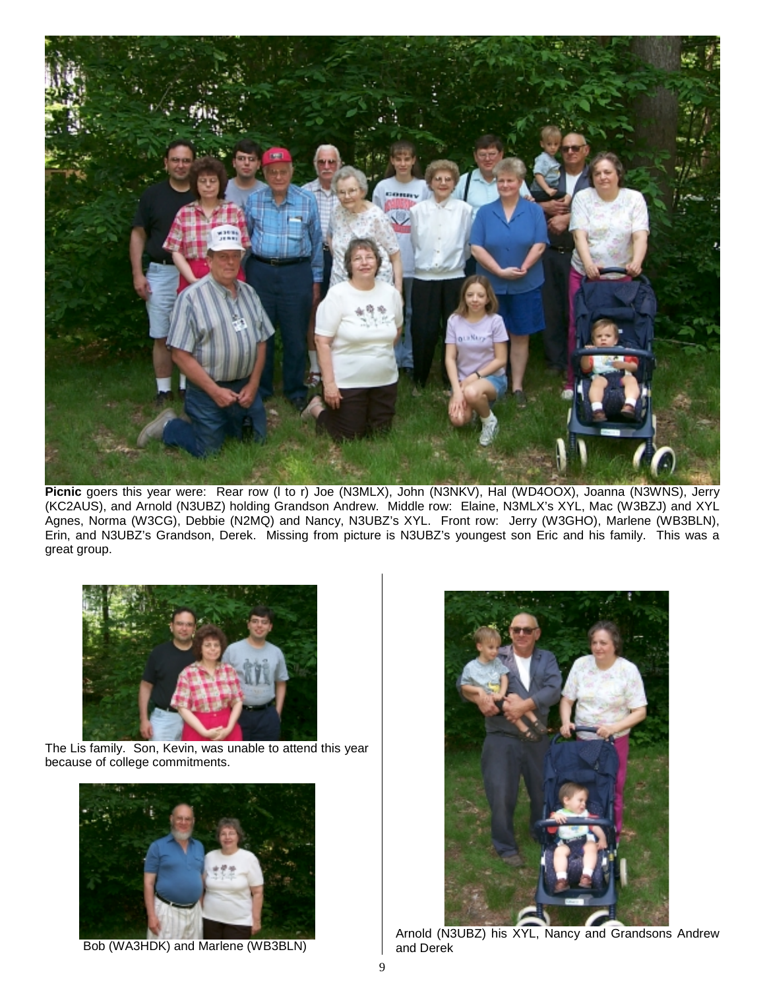

**Picnic** goers this year were: Rear row (l to r) Joe (N3MLX), John (N3NKV), Hal (WD4OOX), Joanna (N3WNS), Jerry (KC2AUS), and Arnold (N3UBZ) holding Grandson Andrew. Middle row: Elaine, N3MLX's XYL, Mac (W3BZJ) and XYL Agnes, Norma (W3CG), Debbie (N2MQ) and Nancy, N3UBZ's XYL. Front row: Jerry (W3GHO), Marlene (WB3BLN), Erin, and N3UBZ's Grandson, Derek. Missing from picture is N3UBZ's youngest son Eric and his family. This was a great group.



 The Lis family. Son, Kevin, was unable to attend this year because of college commitments.



Bob (WA3HDK) and Marlene (WB3BLN)



Arnold (N3UBZ) his XYL, Nancy and Grandsons Andrew and Derek